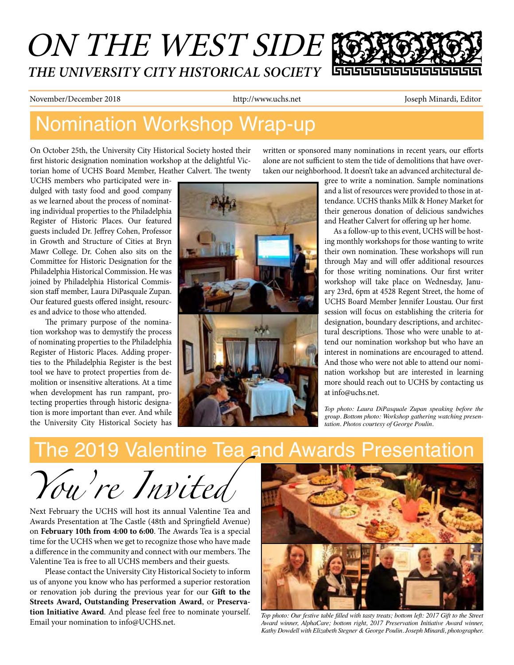## ON THE WEST SIDE *THE UNIVERSITY CITY HISTORICAL SOCIETY* 55555555

November/December 2018 http://www.uchs.net Joseph Minardi, Editor

## Nomination Workshop Wrap-up

On October 25th, the University City Historical Society hosted their first historic designation nomination workshop at the delightful Victorian home of UCHS Board Member, Heather Calvert. The twenty

UCHS members who participated were indulged with tasty food and good company as we learned about the process of nominating individual properties to the Philadelphia Register of Historic Places. Our featured guests included Dr. Jeffrey Cohen, Professor in Growth and Structure of Cities at Bryn Mawr College. Dr. Cohen also sits on the Committee for Historic Designation for the Philadelphia Historical Commission. He was joined by Philadelphia Historical Commission staff member, Laura DiPasquale Zupan. Our featured guests offered insight, resources and advice to those who attended.

The primary purpose of the nomination workshop was to demystify the process of nominating properties to the Philadelphia Register of Historic Places. Adding properties to the Philadelphia Register is the best tool we have to protect properties from demolition or insensitive alterations. At a time when development has run rampant, protecting properties through historic designation is more important than ever. And while the University City Historical Society has



written or sponsored many nominations in recent years, our efforts alone are not sufficient to stem the tide of demolitions that have overtaken our neighborhood. It doesn't take an advanced architectural de-

> gree to write a nomination. Sample nominations and a list of resources were provided to those in attendance. UCHS thanks Milk & Honey Market for their generous donation of delicious sandwiches and Heather Calvert for offering up her home.

> As a follow-up to this event, UCHS will be hosting monthly workshops for those wanting to write their own nomination. These workshops will run through May and will offer additional resources for those writing nominations. Our first writer workshop will take place on Wednesday, January 23rd, 6pm at 4528 Regent Street, the home of UCHS Board Member Jennifer Loustau. Our first session will focus on establishing the criteria for designation, boundary descriptions, and architectural descriptions. Those who were unable to attend our nomination workshop but who have an interest in nominations are encouraged to attend. And those who were not able to attend our nomination workshop but are interested in learning more should reach out to UCHS by contacting us at info@uchs.net.

*Top photo: Laura DiPasquale Zupan speaking before the group. Bottom photo: Workshop gathering watching presentation. Photos courtesy of George Poulin.*

# The 2019 Valentine Tea and Awards Presentation

*You're Invited* 

Next February the UCHS will host its annual Valentine Tea and Awards Presentation at The Castle (48th and Springfield Avenue) on **February 10th from 4:00 to 6:00**. The Awards Tea is a special time for the UCHS when we get to recognize those who have made a difference in the community and connect with our members. The Valentine Tea is free to all UCHS members and their guests.

Please contact the University City Historical Society to inform us of anyone you know who has performed a superior restoration or renovation job during the previous year for our **Gift to the Streets Award, Outstanding Preservation Award**, or **Preservation Initiative Award**. And please feel free to nominate yourself. Email your nomination to info@UCHS.net.



*Top photo: Our festive table filled with tasty treats; bottom left: 2017 Gift to the Street Award winner, AlphaCare; bottom right, 2017 Preservation Initiative Award winner, Kathy Dowdell with Elizabeth Stegner & George Poulin. Joseph Minardi, photographer.*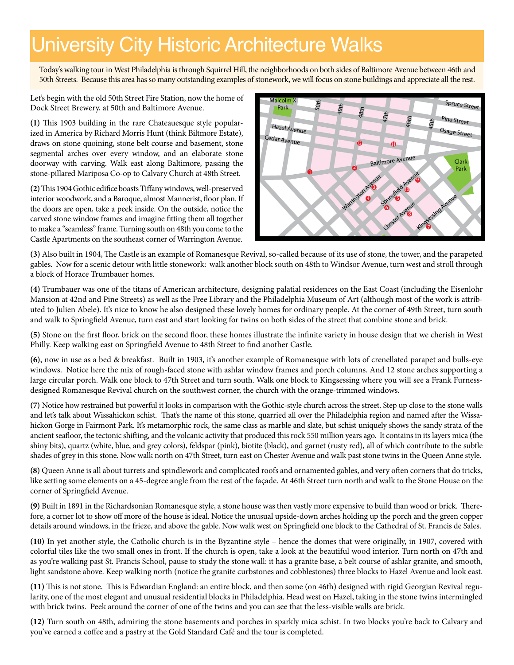## University City Historic Architecture Walks

Today's walking tour in West Philadelphia is through Squirrel Hill, the neighborhoods on both sides of Baltimore Avenue between 46th and 50th Streets. Because this area has so many outstanding examples of stonework, we will focus on stone buildings and appreciate all the rest.

Let's begin with the old 50th Street Fire Station, now the home of Dock Street Brewery, at 50th and Baltimore Avenue.

**(1)** This 1903 building in the rare Chateauesque style popularized in America by Richard Morris Hunt (think Biltmore Estate), draws on stone quoining, stone belt course and basement, stone segmental arches over every window, and an elaborate stone doorway with carving. Walk east along Baltimore, passing the stone-pillared Mariposa Co-op to Calvary Church at 48th Street.

**(2)** This 1904 Gothic edifice boasts Tiffany windows, well-preserved interior woodwork, and a Baroque, almost Mannerist, floor plan. If the doors are open, take a peek inside. On the outside, notice the carved stone window frames and imagine fitting them all together to make a "seamless" frame. Turning south on 48th you come to the Castle Apartments on the southeast corner of Warrington Avenue.



(3) Also built in 1904, The Castle is an example of Romanesque Revival, so-called because of its use of stone, the tower, and the parapeted gables. Now for a scenic detour with little stonework: walk another block south on 48th to Windsor Avenue, turn west and stroll through a block of Horace Trumbauer homes. stone, th

**(4)** Trumbauer was one of the titans of American architecture, designing palatial residences on the East Coast (including the Eisenlohr Mansion at 42nd and Pine Streets) as well as the Free Library and the Philadelphia Museum of Art (although most of the work is attributed to Julien Abele). It's nice to know he also designed these lovely homes for ordinary people. At the corner of 49th Street, turn south and walk to Springfield Avenue, turn east and start looking for twins on both sides of the street that combine stone and brick.

**(5)** Stone on the first floor, brick on the second floor, these homes illustrate the infinite variety in house design that we cherish in West Philly. Keep walking east on Springfield Avenue to 48th Street to find another Castle.

**(6)**, now in use as a bed & breakfast. Built in 1903, it's another example of Romanesque with lots of crenellated parapet and bulls-eye windows. Notice here the mix of rough-faced stone with ashlar window frames and porch columns. And 12 stone arches supporting a large circular porch. Walk one block to 47th Street and turn south. Walk one block to Kingsessing where you will see a Frank Furnessdesigned Romanesque Revival church on the southwest corner, the church with the orange-trimmed windows.

**(7)** Notice how restrained but powerful it looks in comparison with the Gothic-style church across the street. Step up close to the stone walls and let's talk about Wissahickon schist. That's the name of this stone, quarried all over the Philadelphia region and named after the Wissahickon Gorge in Fairmont Park. It's metamorphic rock, the same class as marble and slate, but schist uniquely shows the sandy strata of the ancient seafloor, the tectonic shifting, and the volcanic activity that produced this rock 550 million years ago. It contains in its layers mica (the shiny bits), quartz (white, blue, and grey colors), feldspar (pink), biotite (black), and garnet (rusty red), all of which contribute to the subtle shades of grey in this stone. Now walk north on 47th Street, turn east on Chester Avenue and walk past stone twins in the Queen Anne style.

**(8)** Queen Anne is all about turrets and spindlework and complicated roofs and ornamented gables, and very often corners that do tricks, like setting some elements on a 45-degree angle from the rest of the façade. At 46th Street turn north and walk to the Stone House on the corner of Springfield Avenue.

**(9)** Built in 1891 in the Richardsonian Romanesque style, a stone house was then vastly more expensive to build than wood or brick. Therefore, a corner lot to show off more of the house is ideal. Notice the unusual upside-down arches holding up the porch and the green copper details around windows, in the frieze, and above the gable. Now walk west on Springfield one block to the Cathedral of St. Francis de Sales.

**(10)** In yet another style, the Catholic church is in the Byzantine style – hence the domes that were originally, in 1907, covered with colorful tiles like the two small ones in front. If the church is open, take a look at the beautiful wood interior. Turn north on 47th and as you're walking past St. Francis School, pause to study the stone wall: it has a granite base, a belt course of ashlar granite, and smooth, light sandstone above. Keep walking north (notice the granite curbstones and cobblestones) three blocks to Hazel Avenue and look east.

**(11)** This is not stone. This is Edwardian England: an entire block, and then some (on 46th) designed with rigid Georgian Revival regularity, one of the most elegant and unusual residential blocks in Philadelphia. Head west on Hazel, taking in the stone twins intermingled with brick twins. Peek around the corner of one of the twins and you can see that the less-visible walls are brick.

**(12)** Turn south on 48th, admiring the stone basements and porches in sparkly mica schist. In two blocks you're back to Calvary and you've earned a coffee and a pastry at the Gold Standard Café and the tour is completed.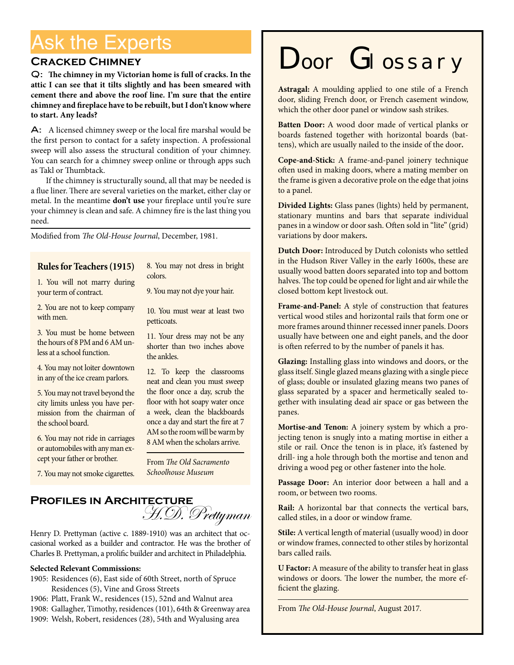# Ask the Experts

#### **Cracked Chimney**

Q: **The chimney in my Victorian home is full of cracks. In the attic I can see that it tilts slightly and has been smeared with cement there and above the roof line. I'm sure that the entire chimney and fireplace have to be rebuilt, but I don't know where to start. Any leads?**

A: A licensed chimney sweep or the local fire marshal would be the first person to contact for a safety inspection. A professional sweep will also assess the structural condition of your chimney. You can search for a chimney sweep online or through apps such as Takl or Thumbtack.

If the chimney is structurally sound, all that may be needed is a flue liner. There are several varieties on the market, either clay or metal. In the meantime **don't use** your fireplace until you're sure your chimney is clean and safe. A chimney fire is the last thing you need.

Modified from *The Old-House Journal*, December, 1981.

#### **Rules for Teachers (1915)**

1. You will not marry during your term of contract.

8. You may not dress in bright colors.

9. You may not dye your hair.

2. You are not to keep company with men

3. You must be home between the hours of 8 PM and 6 AM unless at a school function.

4. You may not loiter downtown in any of the ice cream parlors.

5. You may not travel beyond the city limits unless you have permission from the chairman of the school board.

6. You may not ride in carriages or automobiles with any man except your father or brother.

7. You may not smoke cigarettes.

10. You must wear at least two petticoats.

11. Your dress may not be any shorter than two inches above the ankles.

12. To keep the classrooms neat and clean you must sweep the floor once a day, scrub the floor with hot soapy water once a week, clean the blackboards once a day and start the fire at 7 AM so the room will be warm by 8 AM when the scholars arrive.

From *The Old Sacramento Schoolhouse Museum*

### **Profiles in Architecture** H.D. Prettyman

Henry D. Prettyman (active c. 1889-1910) was an architect that occasional worked as a builder and contractor. He was the brother of Charles B. Prettyman, a prolific builder and architect in Philadelphia.

#### **Selected Relevant Commissions:**

- 1905: Residences (6), East side of 60th Street, north of Spruce Residences (5), Vine and Gross Streets
- 1906: Platt, Frank W., residences (15), 52nd and Walnut area
- 1908: Gallagher, Timothy, residences (101), 64th & Greenway area
- 1909: Welsh, Robert, residences (28), 54th and Wyalusing area

# Door Glossary

**Astragal:** A moulding applied to one stile of a French door, sliding French door, or French casement window, which the other door panel or window sash strikes.

**Batten Door:** A wood door made of vertical planks or boards fastened together with horizontal boards (battens), which are usually nailed to the inside of the door**.**

**Cope-and-Stick:** A frame-and-panel joinery technique often used in making doors, where a mating member on the frame is given a decorative prole on the edge that joins to a panel.

**Divided Lights:** Glass panes (lights) held by permanent, stationary muntins and bars that separate individual panes in a window or door sash. Often sold in "lite" (grid) variations by door makers**.**

**Dutch Door:** Introduced by Dutch colonists who settled in the Hudson River Valley in the early 1600s, these are usually wood batten doors separated into top and bottom halves. The top could be opened for light and air while the closed bottom kept livestock out.

**Frame-and-Panel:** A style of construction that features vertical wood stiles and horizontal rails that form one or more frames around thinner recessed inner panels. Doors usually have between one and eight panels, and the door is often referred to by the number of panels it has.

**Glazing:** Installing glass into windows and doors, or the glass itself. Single glazed means glazing with a single piece of glass; double or insulated glazing means two panes of glass separated by a spacer and hermetically sealed together with insulating dead air space or gas between the panes.

**Mortise-and Tenon:** A joinery system by which a projecting tenon is snugly into a mating mortise in either a stile or rail. Once the tenon is in place, it's fastened by drill- ing a hole through both the mortise and tenon and driving a wood peg or other fastener into the hole.

**Passage Door:** An interior door between a hall and a room, or between two rooms.

**Rail:** A horizontal bar that connects the vertical bars, called stiles, in a door or window frame.

**Stile:** A vertical length of material (usually wood) in door or window frames, connected to other stiles by horizontal bars called rails.

**U Factor:** A measure of the ability to transfer heat in glass windows or doors. The lower the number, the more efficient the glazing.

From *The Old-House Journal*, August 2017*.*